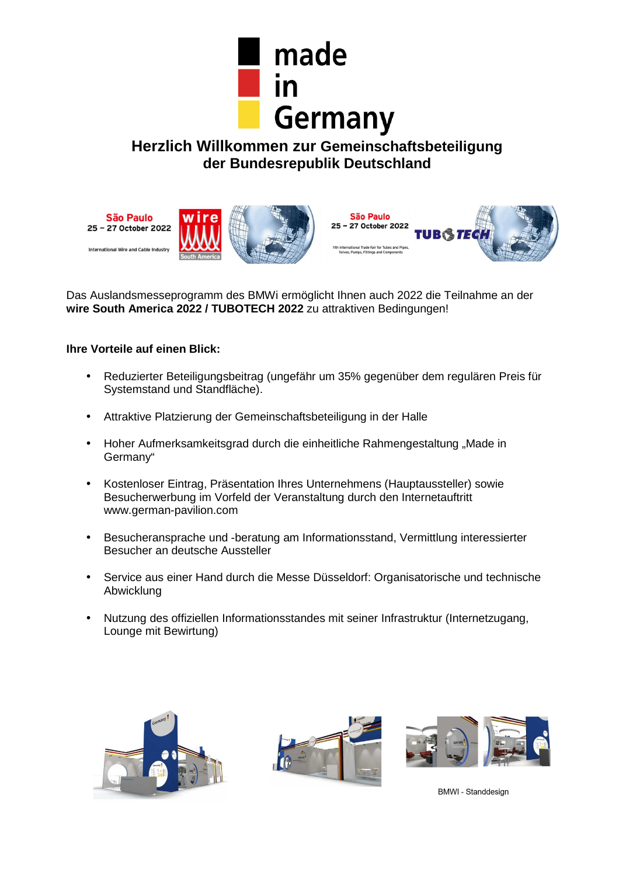

**Herzlich Willkommen zur Gemeinschaftsbeteiligung der Bundesrepublik Deutschland** 



Das Auslandsmesseprogramm des BMWi ermöglicht Ihnen auch 2022 die Teilnahme an der **wire South America 2022 / TUBOTECH 2022** zu attraktiven Bedingungen!

# **Ihre Vorteile auf einen Blick:**

- Reduzierter Beteiligungsbeitrag (ungefähr um 35% gegenüber dem regulären Preis für Systemstand und Standfläche).
- Attraktive Platzierung der Gemeinschaftsbeteiligung in der Halle
- Hoher Aufmerksamkeitsgrad durch die einheitliche Rahmengestaltung "Made in Germany"
- Kostenloser Eintrag, Präsentation Ihres Unternehmens (Hauptaussteller) sowie Besucherwerbung im Vorfeld der Veranstaltung durch den Internetauftritt www.german-pavilion.com
- Besucheransprache und -beratung am Informationsstand, Vermittlung interessierter Besucher an deutsche Aussteller
- Service aus einer Hand durch die Messe Düsseldorf: Organisatorische und technische Abwicklung
- Nutzung des offiziellen Informationsstandes mit seiner Infrastruktur (Internetzugang, Lounge mit Bewirtung)







**BMWI** - Standdesign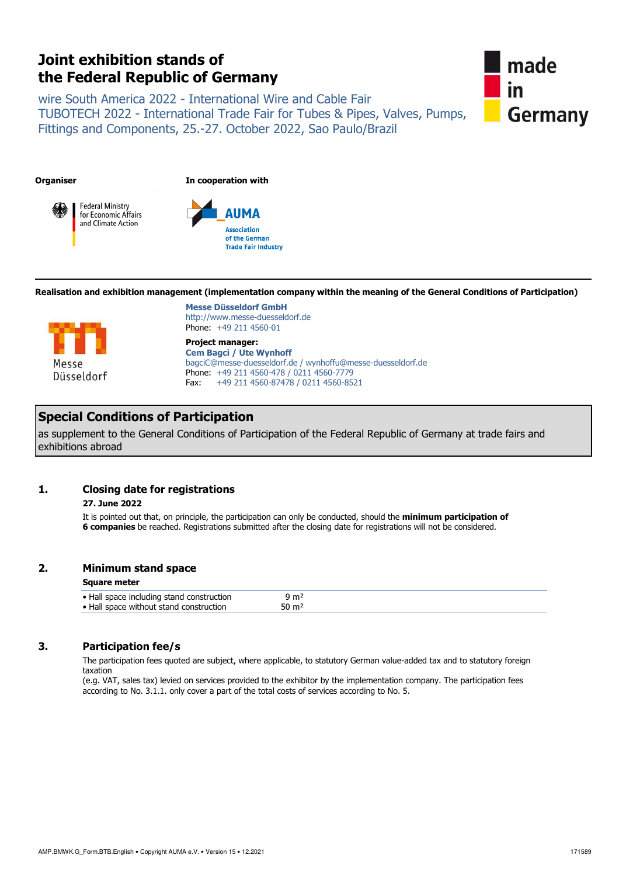# **Joint exhibition stands of the Federal Republic of Germany**

wire South America 2022 - International Wire and Cable Fair TUBOTECH 2022 - International Trade Fair for Tubes & Pipes, Valves, Pumps, Fittings and Components, 25.-27. October 2022, Sao Paulo/Brazil



**Organiser In cooperation with**





**Realisation and exhibition management (implementation company within the meaning of the General Conditions of Participation)**



**Messe Düsseldorf GmbH** http://www.messe-duesseldorf.de Phone: +49 211 4560-01

**Project manager: Cem Bagci / Ute Wynhoff**  bagciC@messe-duesseldorf.de / wynhoffu@messe-duesseldorf.de Phone: +49 211 4560-478 / 0211 4560-7779 Fax: +49 211 4560-87478 / 0211 4560-8521

# **Special Conditions of Participation**

as supplement to the General Conditions of Participation of the Federal Republic of Germany at trade fairs and exhibitions abroad

# **1. Closing date for registrations**

# **27. June 2022**

 It is pointed out that, on principle, the participation can only be conducted, should the **minimum participation of 6 companies** be reached. Registrations submitted after the closing date for registrations will not be considered.

# **2. Minimum stand space**

### **Square meter**

| ታ m2<br>50 m² |                                           |  |
|---------------|-------------------------------------------|--|
|               | • Hall space including stand construction |  |
|               | • Hall space without stand construction   |  |

# **3. Participation fee/s**

 The participation fees quoted are subject, where applicable, to statutory German value-added tax and to statutory foreign taxation

(e.g. VAT, sales tax) levied on services provided to the exhibitor by the implementation company. The participation fees according to No. 3.1.1. only cover a part of the total costs of services according to No. 5.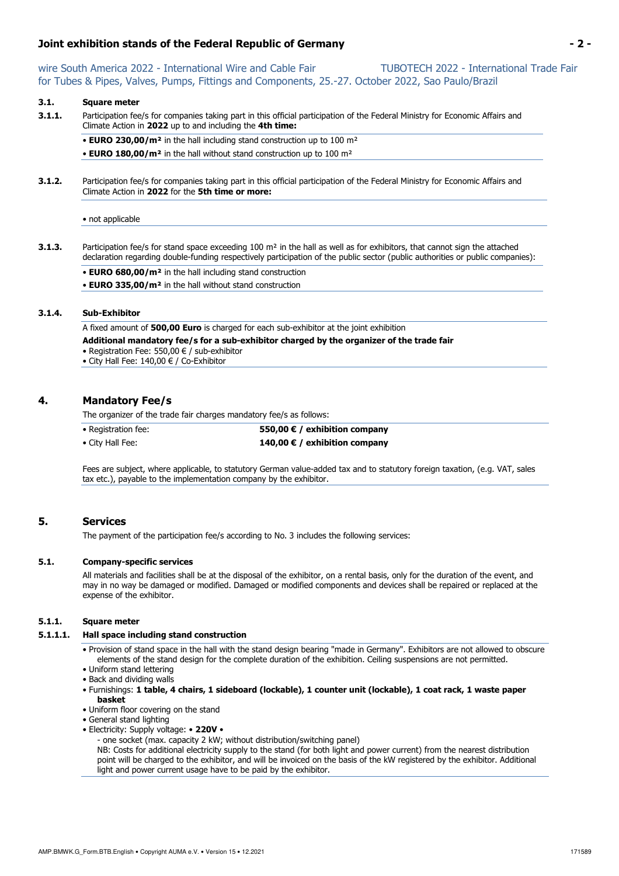# **Joint exhibition stands of the Federal Republic of Germany - 2 -**

wire South America 2022 - International Wire and Cable Fair TUBOTECH 2022 - International Trade Fair for Tubes & Pipes, Valves, Pumps, Fittings and Components, 25.-27. October 2022, Sao Paulo/Brazil

# **3.1. Square meter**

**3.1.1.** Participation fee/s for companies taking part in this official participation of the Federal Ministry for Economic Affairs and Climate Action in **2022** up to and including the **4th time:**

• **EURO 230,00/m²** in the hall including stand construction up to 100 m² • **EURO 180,00/m²** in the hall without stand construction up to 100 m²

**3.1.2.** Participation fee/s for companies taking part in this official participation of the Federal Ministry for Economic Affairs and Climate Action in **2022** for the **5th time or more:**

• not applicable

- **3.1.3.** Participation fee/s for stand space exceeding 100 m<sup>2</sup> in the hall as well as for exhibitors, that cannot sign the attached declaration regarding double-funding respectively participation of the public sector (public authorities or public companies):
	- **EURO 680,00/m²** in the hall including stand construction
	- **EURO 335,00/m²** in the hall without stand construction

### **3.1.4. Sub-Exhibitor**

A fixed amount of **500,00 Euro** is charged for each sub-exhibitor at the joint exhibition

- **Additional mandatory fee/s for a sub-exhibitor charged by the organizer of the trade fair**
- Registration Fee: 550,00 € / sub-exhibitor
- City Hall Fee: 140,00 € / Co-Exhibitor

## **4. Mandatory Fee/s**

The organizer of the trade fair charges mandatory fee/s as follows:

- -

• Registration fee: **550,00 € / exhibition company** • City Hall Fee: **140,00 € / exhibition company** 

Fees are subject, where applicable, to statutory German value-added tax and to statutory foreign taxation, (e.g. VAT, sales tax etc.), payable to the implementation company by the exhibitor.

# **5. Services**

The payment of the participation fee/s according to No. 3 includes the following services:

### **5.1. Company-specific services**

 All materials and facilities shall be at the disposal of the exhibitor, on a rental basis, only for the duration of the event, and may in no way be damaged or modified. Damaged or modified components and devices shall be repaired or replaced at the expense of the exhibitor.

## **5.1.1. Square meter**

### **5.1.1.1. Hall space including stand construction**

• Provision of stand space in the hall with the stand design bearing "made in Germany". Exhibitors are not allowed to obscure elements of the stand design for the complete duration of the exhibition. Ceiling suspensions are not permitted.

- Uniform stand lettering
- Back and dividing walls
- Furnishings: **1 table, 4 chairs, 1 sideboard (lockable), 1 counter unit (lockable), 1 coat rack, 1 waste paper basket**
- Uniform floor covering on the stand
- General stand lighting
- Electricity: Supply voltage: **220V** 
	- one socket (max. capacity 2 kW; without distribution/switching panel)

NB: Costs for additional electricity supply to the stand (for both light and power current) from the nearest distribution point will be charged to the exhibitor, and will be invoiced on the basis of the kW registered by the exhibitor. Additional light and power current usage have to be paid by the exhibitor.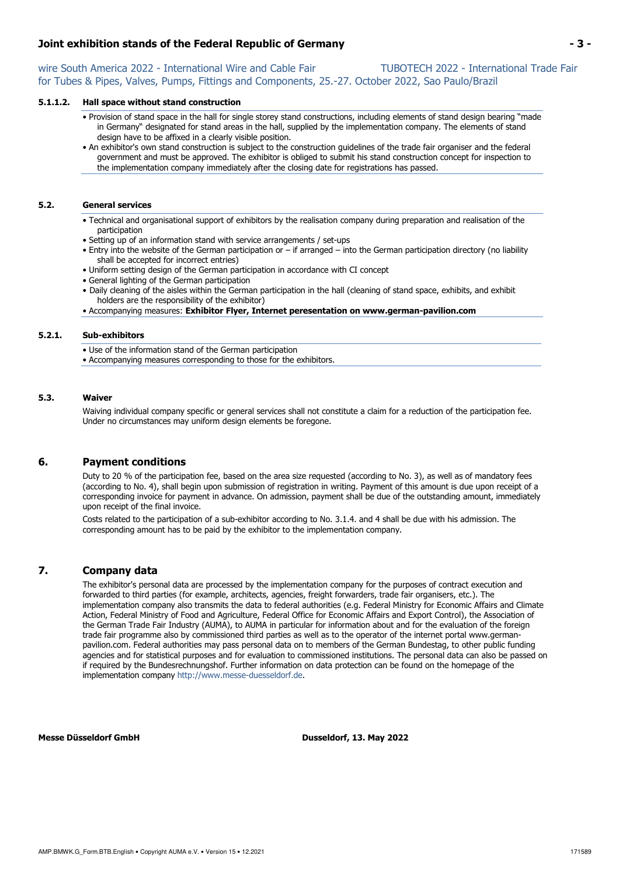# **Joint exhibition stands of the Federal Republic of Germany - 3 -**

wire South America 2022 - International Wire and Cable Fair TUBOTECH 2022 - International Trade Fair for Tubes & Pipes, Valves, Pumps, Fittings and Components, 25.-27. October 2022, Sao Paulo/Brazil

### **5.1.1.2. Hall space without stand construction**

- Provision of stand space in the hall for single storey stand constructions, including elements of stand design bearing "made in Germany" designated for stand areas in the hall, supplied by the implementation company. The elements of stand design have to be affixed in a clearly visible position.
- An exhibitor's own stand construction is subject to the construction guidelines of the trade fair organiser and the federal government and must be approved. The exhibitor is obliged to submit his stand construction concept for inspection to the implementation company immediately after the closing date for registrations has passed.

### **5.2. General services**

- Technical and organisational support of exhibitors by the realisation company during preparation and realisation of the participation
- Setting up of an information stand with service arrangements / set-ups
- Entry into the website of the German participation or if arranged into the German participation directory (no liability shall be accepted for incorrect entries)
- Uniform setting design of the German participation in accordance with CI concept
- General lighting of the German participation
- Daily cleaning of the aisles within the German participation in the hall (cleaning of stand space, exhibits, and exhibit holders are the responsibility of the exhibitor)
- Accompanying measures: **Exhibitor Flyer, Internet peresentation on www.german-pavilion.com**

### **5.2.1. Sub-exhibitors**

- Use of the information stand of the German participation
- Accompanying measures corresponding to those for the exhibitors.

### **5.3. Waiver**

 Waiving individual company specific or general services shall not constitute a claim for a reduction of the participation fee. Under no circumstances may uniform design elements be foregone.

## **6. Payment conditions**

 Duty to 20 % of the participation fee, based on the area size requested (according to No. 3), as well as of mandatory fees (according to No. 4), shall begin upon submission of registration in writing. Payment of this amount is due upon receipt of a corresponding invoice for payment in advance. On admission, payment shall be due of the outstanding amount, immediately upon receipt of the final invoice.

Costs related to the participation of a sub-exhibitor according to No. 3.1.4. and 4 shall be due with his admission. The corresponding amount has to be paid by the exhibitor to the implementation company.

## **7. Company data**

 The exhibitor's personal data are processed by the implementation company for the purposes of contract execution and forwarded to third parties (for example, architects, agencies, freight forwarders, trade fair organisers, etc.). The implementation company also transmits the data to federal authorities (e.g. Federal Ministry for Economic Affairs and Climate Action, Federal Ministry of Food and Agriculture, Federal Office for Economic Affairs and Export Control), the Association of the German Trade Fair Industry (AUMA), to AUMA in particular for information about and for the evaluation of the foreign trade fair programme also by commissioned third parties as well as to the operator of the internet portal www.germanpavilion.com. Federal authorities may pass personal data on to members of the German Bundestag, to other public funding agencies and for statistical purposes and for evaluation to commissioned institutions. The personal data can also be passed on if required by the Bundesrechnungshof. Further information on data protection can be found on the homepage of the implementation company http://www.messe-duesseldorf.de.

**Messe Düsseldorf GmbH Dusseldorf, 13. May 2022**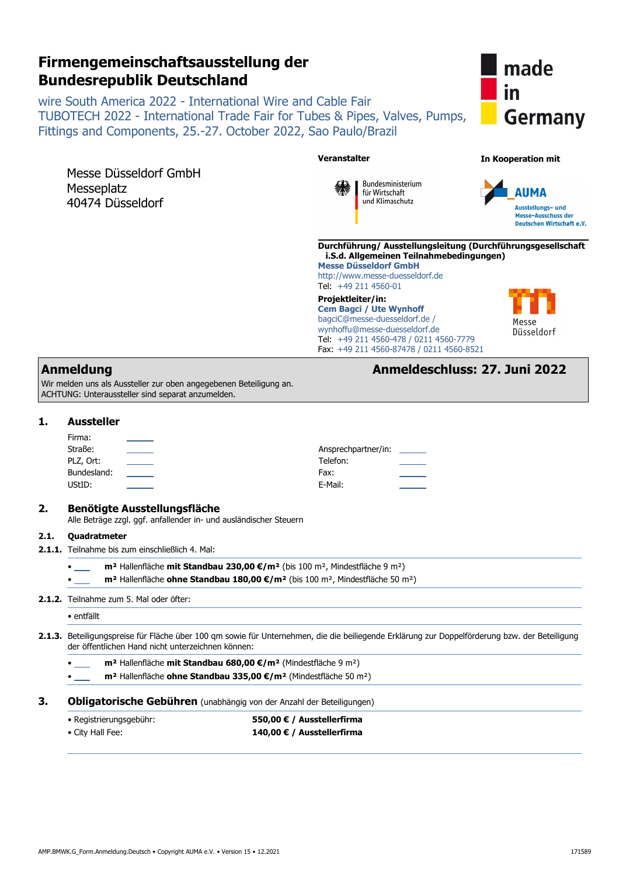# **Firmengemeinschaftsausstellung der Bundesrepublik Deutschland**

wire South America 2022 - International Wire and Cable Fair TUBOTECH 2022 - International Trade Fair for Tubes & Pipes, Valves, Pumps, Fittings and Components, 25.-27. October 2022, Sao Paulo/Brazil



|      |                                                                                                                                             | <b>Veranstalter</b>                                                                                                                                                                                         | <b>In Kooperation mit</b>                                                            |
|------|---------------------------------------------------------------------------------------------------------------------------------------------|-------------------------------------------------------------------------------------------------------------------------------------------------------------------------------------------------------------|--------------------------------------------------------------------------------------|
|      | Messe Düsseldorf GmbH<br>Messeplatz<br>40474 Düsseldorf                                                                                     | Bundesministerium<br>für Wirtschaft<br>und Klimaschutz                                                                                                                                                      | <b>AUMA</b><br>Ausstellungs- und<br>Messe-Ausschuss der<br>Deutschen Wirtschaft e.V. |
|      |                                                                                                                                             | Durchführung/ Ausstellungsleitung (Durchführungsgesellschaft<br>i.S.d. Allgemeinen Teilnahmebedingungen)<br><b>Messe Düsseldorf GmbH</b><br>http://www.messe-duesseldorf.de<br>Tel: +49 211 4560-01         |                                                                                      |
|      |                                                                                                                                             | Projektleiter/in:<br><b>Cem Bagci / Ute Wynhoff</b><br>bagciC@messe-duesseldorf.de /<br>wynhoffu@messe-duesseldorf.de<br>Tel: +49 211 4560-478 / 0211 4560-7779<br>Fax: +49 211 4560-87478 / 0211 4560-8521 | Messe<br>Düsseldorf                                                                  |
|      | <b>Anmeldung</b><br>Wir melden uns als Aussteller zur oben angegebenen Beteiligung an.<br>ACHTUNG: Unteraussteller sind separat anzumelden. |                                                                                                                                                                                                             | Anmeldeschluss: 27. Juni 2022                                                        |
|      | <b>Aussteller</b>                                                                                                                           |                                                                                                                                                                                                             |                                                                                      |
|      | Firma:                                                                                                                                      |                                                                                                                                                                                                             |                                                                                      |
|      | Straße:                                                                                                                                     | Ansprechpartner/in:                                                                                                                                                                                         |                                                                                      |
|      |                                                                                                                                             |                                                                                                                                                                                                             |                                                                                      |
|      | $\overline{\phantom{0}}$<br>PLZ, Ort:                                                                                                       | Telefon:                                                                                                                                                                                                    |                                                                                      |
|      | Bundesland:                                                                                                                                 | Fax:                                                                                                                                                                                                        |                                                                                      |
|      | UStID:                                                                                                                                      | E-Mail:                                                                                                                                                                                                     |                                                                                      |
|      | <b>Benötigte Ausstellungsfläche</b><br>Alle Beträge zzgl. ggf. anfallender in- und ausländischer Steuern                                    |                                                                                                                                                                                                             |                                                                                      |
|      | <b>Ouadratmeter</b>                                                                                                                         |                                                                                                                                                                                                             |                                                                                      |
|      | 2.1.1. Teilnahme bis zum einschließlich 4. Mal:                                                                                             |                                                                                                                                                                                                             |                                                                                      |
|      |                                                                                                                                             | m <sup>2</sup> Hallenfläche mit Standbau 230,00 €/m <sup>2</sup> (bis 100 m <sup>2</sup> , Mindestfläche 9 m <sup>2</sup> )                                                                                 |                                                                                      |
|      |                                                                                                                                             | m <sup>2</sup> Hallenfläche ohne Standbau 180,00 €/m <sup>2</sup> (bis 100 m <sup>2</sup> , Mindestfläche 50 m <sup>2</sup> )                                                                               |                                                                                      |
| 2.1. | 2.1.2. Teilnahme zum 5. Mal oder öfter:                                                                                                     |                                                                                                                                                                                                             |                                                                                      |
|      | • entfällt                                                                                                                                  |                                                                                                                                                                                                             |                                                                                      |
|      | der öffentlichen Hand nicht unterzeichnen können:                                                                                           | 2.1.3. Beteiligungspreise für Fläche über 100 qm sowie für Unternehmen, die die beiliegende Erklärung zur Doppelförderung bzw. der Beteiligung                                                              |                                                                                      |
|      |                                                                                                                                             | m <sup>2</sup> Hallenfläche mit Standbau 680,00 €/m <sup>2</sup> (Mindestfläche 9 m <sup>2</sup> )                                                                                                          |                                                                                      |
|      |                                                                                                                                             | m <sup>2</sup> Hallenfläche ohne Standbau 335,00 €/m <sup>2</sup> (Mindestfläche 50 m <sup>2</sup> )                                                                                                        |                                                                                      |
|      |                                                                                                                                             | Obligatorische Gebühren (unabhängig von der Anzahl der Beteiligungen)                                                                                                                                       |                                                                                      |
|      | · Registrierungsgebühr:                                                                                                                     | 550,00 € / Ausstellerfirma                                                                                                                                                                                  |                                                                                      |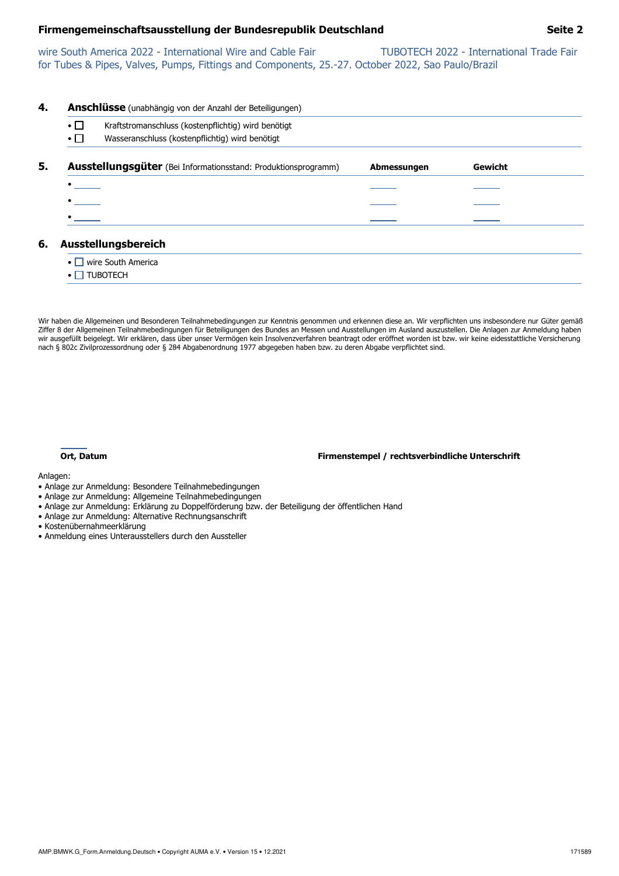# **Firmengemeinschaftsausstellung der Bundesrepublik Deutschland Seite 2**

wire South America 2022 - International Wire and Cable Fair TUBOTECH 2022 - International Trade Fair for Tubes & Pipes, Valves, Pumps, Fittings and Components, 25.-27. October 2022, Sao Paulo/Brazil

| 4. |                                             | <b>Anschlüsse</b> (unabhängig von der Anzahl der Beteiligungen)       |             |         |  |
|----|---------------------------------------------|-----------------------------------------------------------------------|-------------|---------|--|
|    | $\bullet \Box$                              | Kraftstromanschluss (kostenpflichtig) wird benötigt                   |             |         |  |
|    | $\boldsymbol{\cdot} \, \boldsymbol{\sqcap}$ | Wasseranschluss (kostenpflichtig) wird benötigt                       |             |         |  |
| 5. |                                             | <b>Ausstellungsgüter</b> (Bei Informationsstand: Produktionsprogramm) | Abmessungen | Gewicht |  |
|    |                                             |                                                                       |             |         |  |
|    |                                             |                                                                       |             |         |  |
|    |                                             |                                                                       |             |         |  |
| 6. |                                             | Ausstellungsbereich                                                   |             |         |  |
|    |                                             | $\bullet \Box$ wire South America                                     |             |         |  |
|    |                                             | <b>TUBOTECH</b>                                                       |             |         |  |

Wir haben die Allgemeinen und Besonderen Teilnahmebedingungen zur Kenntnis genommen und erkennen diese an. Wir verpflichten uns insbesondere nur Güter gemäß Ziffer 8 der Allgemeinen Teilnahmebedingungen für Beteiligungen des Bundes an Messen und Ausstellungen im Ausland auszustellen. Die Anlagen zur Anmeldung haben wir ausgefüllt beigelegt. Wir erklären, dass über unser Vermögen kein Insolvenzverfahren beantragt oder eröffnet worden ist bzw. wir keine eidesstattliche Versicherung nach § 802c Zivilprozessordnung oder § 284 Abgabenordnung 1977 abgegeben haben bzw. zu deren Abgabe verpflichtet sind.



**Ort, Datum Firmenstempel / rechtsverbindliche Unterschrift**

Anlagen:

- Anlage zur Anmeldung: Besondere Teilnahmebedingungen
- Anlage zur Anmeldung: Allgemeine Teilnahmebedingungen
- Anlage zur Anmeldung: Erklärung zu Doppelförderung bzw. der Beteiligung der öffentlichen Hand
- Anlage zur Anmeldung: Alternative Rechnungsanschrift
- Kostenübernahmeerklärung
- Anmeldung eines Unterausstellers durch den Aussteller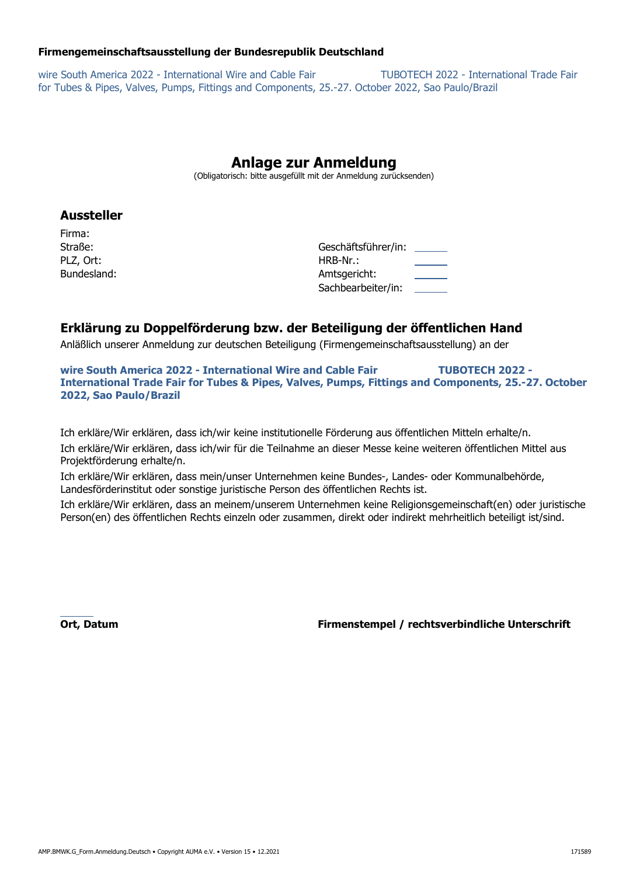# **Firmengemeinschaftsausstellung der Bundesrepublik Deutschland**

wire South America 2022 - International Wire and Cable Fair TUBOTECH 2022 - International Trade Fair for Tubes & Pipes, Valves, Pumps, Fittings and Components, 25.-27. October 2022, Sao Paulo/Brazil

# **Anlage zur Anmeldung**

(Obligatorisch: bitte ausgefüllt mit der Anmeldung zurücksenden)

# **Aussteller**

Firma: PLZ, Ort: Bundesland:

| Straße:     | Geschäftsführer/in: | the control of the con- |
|-------------|---------------------|-------------------------|
| PLZ, Ort:   | HRB-Nr.:            |                         |
| Bundesland: | Amtsgericht:        |                         |
|             | Sachbearbeiter/in:  |                         |

# **Erklärung zu Doppelförderung bzw. der Beteiligung der öffentlichen Hand**

Anläßlich unserer Anmeldung zur deutschen Beteiligung (Firmengemeinschaftsausstellung) an der

**wire South America 2022 - International Wire and Cable Fair TUBOTECH 2022 - International Trade Fair for Tubes & Pipes, Valves, Pumps, Fittings and Components, 25.-27. October 2022, Sao Paulo/Brazil** 

Ich erkläre/Wir erklären, dass ich/wir keine institutionelle Förderung aus öffentlichen Mitteln erhalte/n. Ich erkläre/Wir erklären, dass ich/wir für die Teilnahme an dieser Messe keine weiteren öffentlichen Mittel aus Projektförderung erhalte/n.

Ich erkläre/Wir erklären, dass mein/unser Unternehmen keine Bundes-, Landes- oder Kommunalbehörde, Landesförderinstitut oder sonstige juristische Person des öffentlichen Rechts ist.

Ich erkläre/Wir erklären, dass an meinem/unserem Unternehmen keine Religionsgemeinschaft(en) oder juristische Person(en) des öffentlichen Rechts einzeln oder zusammen, direkt oder indirekt mehrheitlich beteiligt ist/sind.

 **Ort, Datum Firmenstempel / rechtsverbindliche Unterschrift**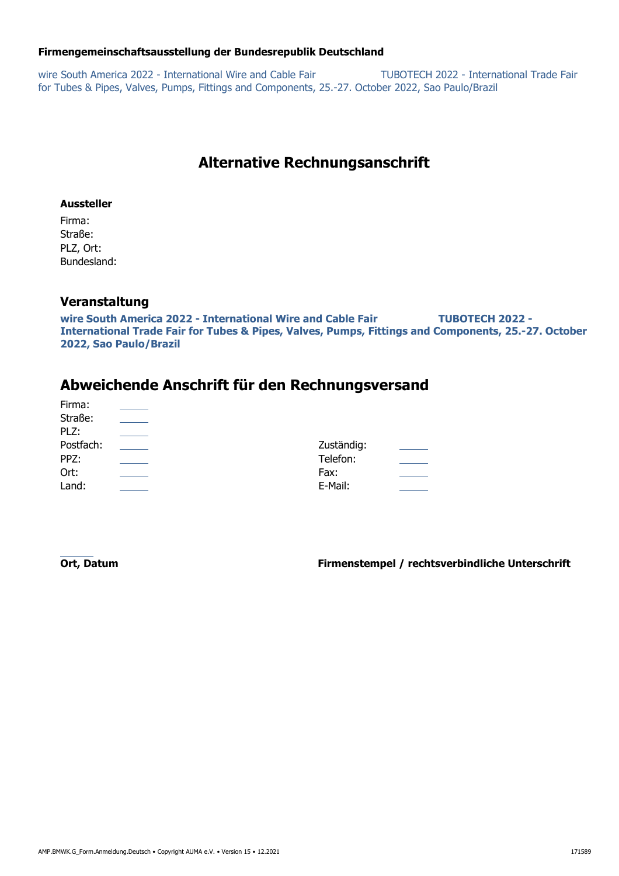# **Firmengemeinschaftsausstellung der Bundesrepublik Deutschland**

wire South America 2022 - International Wire and Cable Fair TUBOTECH 2022 - International Trade Fair for Tubes & Pipes, Valves, Pumps, Fittings and Components, 25.-27. October 2022, Sao Paulo/Brazil

# **Alternative Rechnungsanschrift**

# **Aussteller**

Firma: Straße: PLZ, Ort: Bundesland:

# **Veranstaltung**

**wire South America 2022 - International Wire and Cable Fair TUBOTECH 2022 - International Trade Fair for Tubes & Pipes, Valves, Pumps, Fittings and Components, 25.-27. October 2022, Sao Paulo/Brazil** 

# **Abweichende Anschrift für den Rechnungsversand**

| Firma:    |            |  |
|-----------|------------|--|
| Straße:   |            |  |
| PLZ:      |            |  |
| Postfach: | Zuständig: |  |
| PPZ:      | Telefon:   |  |
| Ort:      | Fax:       |  |
| Land:     | E-Mail:    |  |

 **Ort, Datum Firmenstempel / rechtsverbindliche Unterschrift**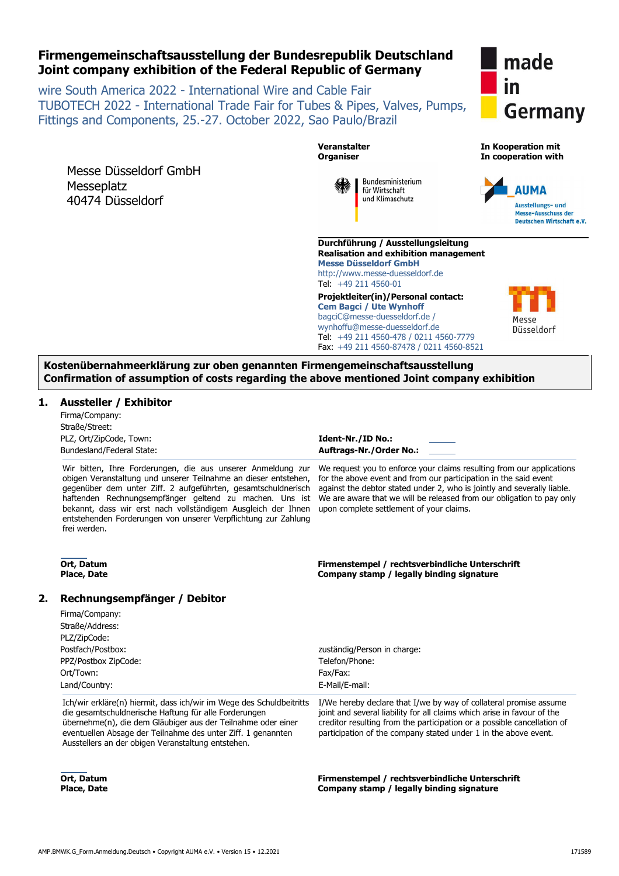# AMP.BMWK.G\_Form.Anmeldung.Deutsch • Copyright AUMA e.V. • Version 15 • 12.2021 171589

# **Firmengemeinschaftsausstellung der Bundesrepublik Deutschland Joint company exhibition of the Federal Republic of Germany**

wire South America 2022 - International Wire and Cable Fair TUBOTECH 2022 - International Trade Fair for Tubes & Pipes, Valves, Pumps, Fittings and Components, 25.-27. October 2022, Sao Paulo/Brazil

Messe Düsseldorf GmbH **Messeplatz** 40474 Düsseldorf

**Veranstalter Organiser** 

> Bundesministerium für Wirtschaft und Klimaschutz

**Durchführung / Ausstellungsleitung Realisation and exhibition management Messe Düsseldorf GmbH** http://www.messe-duesseldorf.de Tel: +49 211 4560-01 **Projektleiter(in)/Personal contact:**

**Cem Bagci / Ute Wynhoff** bagciC@messe-duesseldorf.de / wynhoffu@messe-duesseldorf.de Tel: +49 211 4560-478 / 0211 4560-7779 Fax: +49 211 4560-87478 / 0211 4560-8521

**Kostenübernahmeerklärung zur oben genannten Firmengemeinschaftsausstellung Confirmation of assumption of costs regarding the above mentioned Joint company exhibition** 

# **1. Aussteller / Exhibitor**

| Firma/Company:            |
|---------------------------|
| Straße/Street:            |
| PLZ, Ort/ZipCode, Town:   |
| Bundesland/Federal State: |

Wir bitten, Ihre Forderungen, die aus unserer Anmeldung zur obigen Veranstaltung und unserer Teilnahme an dieser entstehen, gegenüber dem unter Ziff. 2 aufgeführten, gesamtschuldnerisch haftenden Rechnungsempfänger geltend zu machen. Uns ist bekannt, dass wir erst nach vollständigem Ausgleich der Ihnen entstehenden Forderungen von unserer Verpflichtung zur Zahlung frei werden.

We request you to enforce your claims resulting from our applications for the above event and from our participation in the said event against the debtor stated under 2, who is jointly and severally liable. We are aware that we will be released from our obligation to pay only upon complete settlement of your claims.

**Firmenstempel / rechtsverbindliche Unterschrift Company stamp / legally binding signature** 

**Firmenstempel / rechtsverbindliche Unterschrift Company stamp / legally binding signature 2. Rechnungsempfänger / Debitor** 

**Ident-Nr./ID No.: Auftrags-Nr./Order No.:** 

| Postfach/Postbox:                                                                                                                                                                             | zuständig/Person in charge:                                                                                                                                                                                             |  |
|-----------------------------------------------------------------------------------------------------------------------------------------------------------------------------------------------|-------------------------------------------------------------------------------------------------------------------------------------------------------------------------------------------------------------------------|--|
| PPZ/Postbox ZipCode:                                                                                                                                                                          | Telefon/Phone:                                                                                                                                                                                                          |  |
| Ort/Town:                                                                                                                                                                                     | Fax/Fax:                                                                                                                                                                                                                |  |
| Land/Country:                                                                                                                                                                                 | E-Mail/E-mail:                                                                                                                                                                                                          |  |
| Ich/wir erkläre(n) hiermit, dass ich/wir im Wege des Schuldbeitritts<br>die gesamtschuldnerische Haftung für alle Forderungen<br>übernehme(n), die dem Gläubiger aus der Teilnahme oder einer | I/We hereby declare that I/we by way of collateral promise assume<br>joint and several liability for all claims which arise in favour of the<br>creditor resulting from the participation or a possible cancellation of |  |

eventuellen Absage der Teilnahme des unter Ziff. 1 genannten Ausstellers an der obigen Veranstaltung entstehen. participation of the company stated under 1 in the above event.

 **Ort, Datum Place, Date** 

**Ort, Datum Place, Date** 

Firma/Company: Straße/Address: PLZ/ZipCode:



**In Kooperation mit In cooperation with** 



Düsseldorf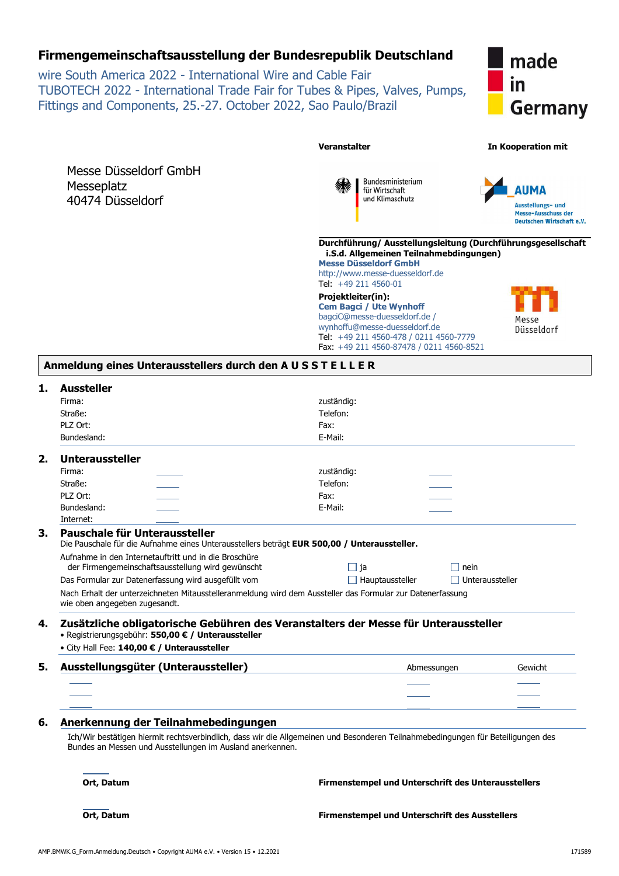# **Firmengemeinschaftsausstellung der Bundesrepublik Deutschland**

wire South America 2022 - International Wire and Cable Fair TUBOTECH 2022 - International Trade Fair for Tubes & Pipes, Valves, Pumps, Fittings and Components, 25.-27. October 2022, Sao Paulo/Brazil



| Messe Düsseldorf GmbH |
|-----------------------|
| Messeplatz            |
| 40474 Düsseldorf      |



Bundesministerium für Wirtschaft und Klimaschutz



### **Durchführung/ Ausstellungsleitung (Durchführungsgesellschaft i.S.d. Allgemeinen Teilnahmebdingungen)**

**Messe Düsseldorf GmbH**

http://www.messe-duesseldorf.de Tel: +49 211 4560-01

**Projektleiter(in): Cem Bagci / Ute Wynhoff** bagciC@messe-duesseldorf.de / wynhoffu@messe-duesseldorf.de Tel: +49 211 4560-478 / 0211 4560-7779 Fax: +49 211 4560-87478 / 0211 4560-8521



# **Anmeldung eines Unterausstellers durch den A U S S T E L L E R**

| <b>Aussteller</b>                                         |                                                                                                                                  |                 |
|-----------------------------------------------------------|----------------------------------------------------------------------------------------------------------------------------------|-----------------|
| Firma:                                                    | zuständig:                                                                                                                       |                 |
| Straße:                                                   | Telefon:                                                                                                                         |                 |
| PLZ Ort:                                                  | Fax:                                                                                                                             |                 |
| Bundesland:                                               | E-Mail:                                                                                                                          |                 |
| <b>Unteraussteller</b>                                    |                                                                                                                                  |                 |
| Firma:                                                    | zuständig:                                                                                                                       |                 |
| Straße:                                                   | Telefon:                                                                                                                         |                 |
| PLZ Ort:                                                  | Fax:                                                                                                                             |                 |
| Bundesland:                                               | E-Mail:                                                                                                                          |                 |
| Internet:                                                 |                                                                                                                                  |                 |
| Pauschale für Unteraussteller                             |                                                                                                                                  |                 |
|                                                           | Die Pauschale für die Aufnahme eines Unterausstellers beträgt EUR 500,00 / Unteraussteller.                                      |                 |
| Aufnahme in den Internetauftritt und in die Broschüre     |                                                                                                                                  |                 |
| der Firmengemeinschaftsausstellung wird gewünscht         | $\Box$ ja                                                                                                                        | nein            |
| Das Formular zur Datenerfassung wird ausgefüllt vom       | $\Box$ Hauptaussteller                                                                                                           | Unteraussteller |
| wie oben angegeben zugesandt.                             | Nach Erhalt der unterzeichneten Mitausstelleranmeldung wird dem Aussteller das Formular zur Datenerfassung                       |                 |
|                                                           |                                                                                                                                  |                 |
|                                                           | Zusätzliche obligatorische Gebühren des Veranstalters der Messe für Unteraussteller                                              |                 |
| • Registrierungsgebühr: 550,00 € / Unteraussteller        |                                                                                                                                  |                 |
| • City Hall Fee: 140,00 € / Unteraussteller               |                                                                                                                                  |                 |
| Ausstellungsgüter (Unteraussteller)                       | Abmessungen                                                                                                                      | Gewicht         |
|                                                           |                                                                                                                                  |                 |
|                                                           |                                                                                                                                  |                 |
|                                                           |                                                                                                                                  |                 |
| Anerkennung der Teilnahmebedingungen                      |                                                                                                                                  |                 |
| Bundes an Messen und Ausstellungen im Ausland anerkennen. | Ich/Wir bestätigen hiermit rechtsverbindlich, dass wir die Allgemeinen und Besonderen Teilnahmebedingungen für Beteiligungen des |                 |
| Ort, Datum                                                | Firmenstempel und Unterschrift des Unterausstellers                                                                              |                 |
| Ort, Datum                                                | <b>Firmenstempel und Unterschrift des Ausstellers</b>                                                                            |                 |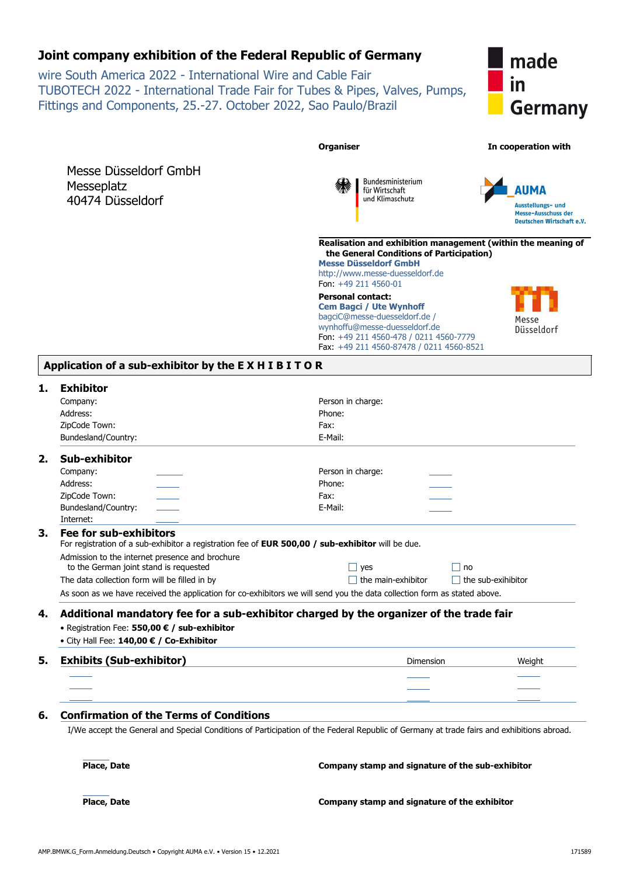# **Joint company exhibition of the Federal Republic of Germany**

wire South America 2022 - International Wire and Cable Fair TUBOTECH 2022 - International Trade Fair for Tubes & Pipes, Valves, Pumps, Fittings and Components, 25.-27. October 2022, Sao Paulo/Brazil



|                                                                                                                                           | <b>Organiser</b>                                                                                                                                                                                                   | In cooperation with                                          |
|-------------------------------------------------------------------------------------------------------------------------------------------|--------------------------------------------------------------------------------------------------------------------------------------------------------------------------------------------------------------------|--------------------------------------------------------------|
|                                                                                                                                           |                                                                                                                                                                                                                    |                                                              |
| Messe Düsseldorf GmbH                                                                                                                     | Bundesministerium                                                                                                                                                                                                  |                                                              |
| Messeplatz                                                                                                                                | für Wirtschaft                                                                                                                                                                                                     | AUMA                                                         |
| 40474 Düsseldorf                                                                                                                          | und Klimaschutz                                                                                                                                                                                                    | Ausstellungs- und                                            |
|                                                                                                                                           |                                                                                                                                                                                                                    | <b>Messe-Ausschuss der</b><br>Deutschen Wirtschaft e.V.      |
|                                                                                                                                           | the General Conditions of Participation)<br><b>Messe Düsseldorf GmbH</b><br>http://www.messe-duesseldorf.de                                                                                                        | Realisation and exhibition management (within the meaning of |
|                                                                                                                                           | Fon: +49 211 4560-01                                                                                                                                                                                               |                                                              |
|                                                                                                                                           | <b>Personal contact:</b><br><b>Cem Bagci / Ute Wynhoff</b><br>bagciC@messe-duesseldorf.de /<br>wynhoffu@messe-duesseldorf.de<br>Fon: +49 211 4560-478 / 0211 4560-7779<br>Fax: +49 211 4560-87478 / 0211 4560-8521 | Messe<br>Düsseldorf                                          |
| Application of a sub-exhibitor by the EXHIBITOR                                                                                           |                                                                                                                                                                                                                    |                                                              |
| <b>Exhibitor</b>                                                                                                                          |                                                                                                                                                                                                                    |                                                              |
| Company:                                                                                                                                  | Person in charge:                                                                                                                                                                                                  |                                                              |
| Address:                                                                                                                                  | Phone:                                                                                                                                                                                                             |                                                              |
| ZipCode Town:                                                                                                                             | Fax:                                                                                                                                                                                                               |                                                              |
| Bundesland/Country:                                                                                                                       | E-Mail:                                                                                                                                                                                                            |                                                              |
| Sub-exhibitor                                                                                                                             |                                                                                                                                                                                                                    |                                                              |
| Company:                                                                                                                                  | Person in charge:                                                                                                                                                                                                  |                                                              |
| Address:                                                                                                                                  | Phone:                                                                                                                                                                                                             |                                                              |
| ZipCode Town:                                                                                                                             | Fax:                                                                                                                                                                                                               |                                                              |
| Bundesland/Country:<br>Internet:                                                                                                          | E-Mail:                                                                                                                                                                                                            |                                                              |
| Fee for sub-exhibitors<br>For registration of a sub-exhibitor a registration fee of EUR 500,00 / sub-exhibitor will be due.               |                                                                                                                                                                                                                    |                                                              |
| Admission to the internet presence and brochure                                                                                           |                                                                                                                                                                                                                    |                                                              |
| to the German joint stand is requested                                                                                                    | $\Box$ yes                                                                                                                                                                                                         | no                                                           |
| The data collection form will be filled in by                                                                                             | the main-exhibitor                                                                                                                                                                                                 | $\Box$ the sub-exihibitor                                    |
| As soon as we have received the application for co-exhibitors we will send you the data collection form as stated above.                  |                                                                                                                                                                                                                    |                                                              |
| Additional mandatory fee for a sub-exhibitor charged by the organizer of the trade fair                                                   |                                                                                                                                                                                                                    |                                                              |
| • Registration Fee: 550,00 € / sub-exhibitor                                                                                              |                                                                                                                                                                                                                    |                                                              |
| • City Hall Fee: 140,00 € / Co-Exhibitor                                                                                                  |                                                                                                                                                                                                                    |                                                              |
| <b>Exhibits (Sub-exhibitor)</b>                                                                                                           | Dimension                                                                                                                                                                                                          | Weight                                                       |
|                                                                                                                                           |                                                                                                                                                                                                                    |                                                              |
|                                                                                                                                           |                                                                                                                                                                                                                    |                                                              |
|                                                                                                                                           |                                                                                                                                                                                                                    |                                                              |
| <b>Confirmation of the Terms of Conditions</b>                                                                                            |                                                                                                                                                                                                                    |                                                              |
| I/We accept the General and Special Conditions of Participation of the Federal Republic of Germany at trade fairs and exhibitions abroad. |                                                                                                                                                                                                                    |                                                              |

Place, Date

**Company stamp and signature of the exhibitor**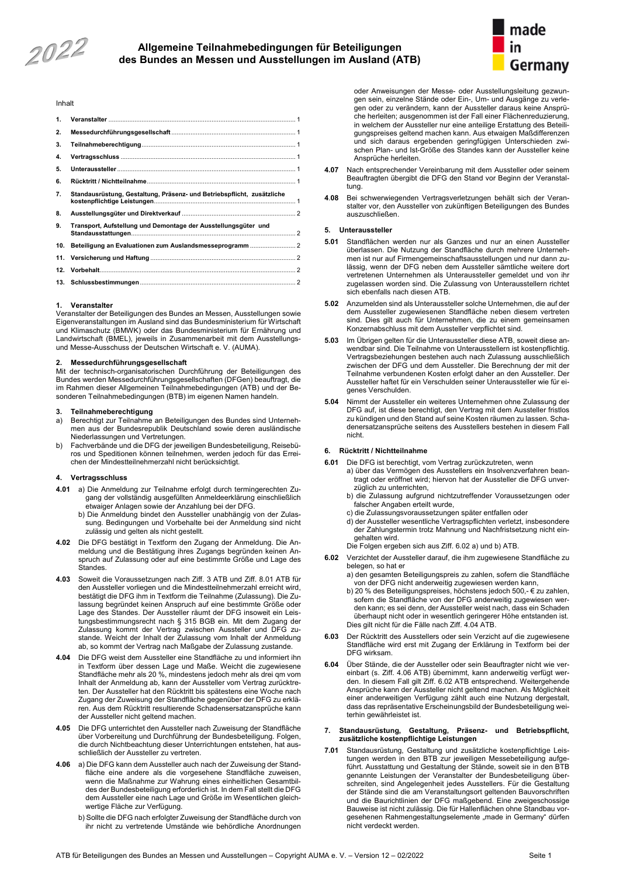2022

# **Allgemeine Teilnahmebedingungen für Beteiligungen des Bundes an Messen und Ausstellungen im Ausland (ATB)**



#### Inhalt

| 1.  |                                                                        |  |
|-----|------------------------------------------------------------------------|--|
| 2.  |                                                                        |  |
| 3.  |                                                                        |  |
| 4.  |                                                                        |  |
| 5.  |                                                                        |  |
| 6.  |                                                                        |  |
| 7.  | Standausrüstung, Gestaltung, Präsenz- und Betriebspflicht, zusätzliche |  |
| 8.  |                                                                        |  |
| 9.  | Transport, Aufstellung und Demontage der Ausstellungsgüter und         |  |
| 10. | Beteiligung an Evaluationen zum Auslandsmesseprogramm  2               |  |
| 11. |                                                                        |  |
| 12. |                                                                        |  |
|     |                                                                        |  |
|     |                                                                        |  |

#### <span id="page-11-0"></span>**1. Veranstalter**

Veranstalter der Beteiligungen des Bundes an Messen, Ausstellungen sowie Eigenveranstaltungen im Ausland sind das Bundesministerium für Wirtschaft und Klimaschutz (BMWK) oder das Bundesministerium für Ernährung und Landwirtschaft (BMEL), jeweils in Zusammenarbeit mit dem Ausstellungsund Messe-Ausschuss der Deutschen Wirtschaft e. V. (AUMA).

### <span id="page-11-1"></span>**2. Messedurchführungsgesellschaft**

Mit der technisch-organisatorischen Durchführung der Beteiligungen des Bundes werden Messedurchführungsgesellschaften (DFGen) beauftragt, die im Rahmen dieser Allgemeinen Teilnahmebedingungen (ATB) und der Besonderen Teilnahmebedingungen (BTB) im eigenen Namen handeln.

#### <span id="page-11-2"></span>**3. Teilnahmeberechtigung**

- a) Berechtigt zur Teilnahme an Beteiligungen des Bundes sind Unternehmen aus der Bundesrepublik Deutschland sowie deren ausländische Niederlassungen und Vertretungen.
- b) Fachverbände und die DFG der jeweiligen Bundesbeteiligung, Reisebüros und Speditionen können teilnehmen, werden jedoch für das Erreichen der Mindestteilnehmerzahl nicht berücksichtigt.

#### <span id="page-11-3"></span>**4. Vertragsschluss**

- **4.01** a) Die Anmeldung zur Teilnahme erfolgt durch termingerechten Zugang der vollständig ausgefüllten Anmeldeerklärung einschließlich etwaiger Anlagen sowie der Anzahlung bei der DFG.
	- b) Die Anmeldung bindet den Aussteller unabhängig von der Zulassung. Bedingungen und Vorbehalte bei der Anmeldung sind nicht zulässig und gelten als nicht gestellt.
- **4.02** Die DFG bestätigt in Textform den Zugang der Anmeldung. Die Anmeldung und die Bestätigung ihres Zugangs begründen keinen Anspruch auf Zulassung oder auf eine bestimmte Größe und Lage des **Standes**
- **4.03** Soweit die Voraussetzungen nach Ziff. 3 ATB und Ziff. 8.01 ATB für den Aussteller vorliegen und die Mindestteilnehmerzahl erreicht wird, bestätigt die DFG ihm in Textform die Teilnahme (Zulassung). Die Zulassung begründet keinen Anspruch auf eine bestimmte Größe oder Lage des Standes. Der Aussteller räumt der DFG insoweit ein Leistungsbestimmungsrecht nach § 315 BGB ein. Mit dem Zugang der Zulassung kommt der Vertrag zwischen Aussteller und DFG zustande. Weicht der Inhalt der Zulassung vom Inhalt der Anmeldung ab, so kommt der Vertrag nach Maßgabe der Zulassung zustande.
- **4.04** Die DFG weist dem Aussteller eine Standfläche zu und informiert ihn in Textform über dessen Lage und Maße. Weicht die zugewiesene Standfläche mehr als 20 %, mindestens jedoch mehr als drei qm vom Inhalt der Anmeldung ab, kann der Aussteller vom Vertrag zurücktreten. Der Aussteller hat den Rücktritt bis spätestens eine Woche nach Zugang der Zuweisung der Standfläche gegenüber der DFG zu erklären. Aus dem Rücktritt resultierende Schadensersatzansprüche kann der Aussteller nicht geltend machen.
- **4.05** Die DFG unterrichtet den Aussteller nach Zuweisung der Standfläche über Vorbereitung und Durchführung der Bundesbeteiligung. Folgen, die durch Nichtbeachtung dieser Unterrichtungen entstehen, hat ausschließlich der Aussteller zu vertreten.
- **4.06** a) Die DFG kann dem Aussteller auch nach der Zuweisung der Standfläche eine andere als die vorgesehene Standfläche zuweisen, wenn die Maßnahme zur Wahrung eines einheitlichen Gesamtbildes der Bundesbeteiligung erforderlich ist. In dem Fall stellt die DFG dem Aussteller eine nach Lage und Größe im Wesentlichen gleichwertige Fläche zur Verfügung.
	- b) Sollte die DFG nach erfolgter Zuweisung der Standfläche durch von ihr nicht zu vertretende Umstände wie behördliche Anordnungen

oder Anweisungen der Messe- oder Ausstellungsleitung gezwungen sein, einzelne Stände oder Ein-, Um- und Ausgänge zu verlegen oder zu verändern, kann der Aussteller daraus keine Ansprüche herleiten; ausgenommen ist der Fall einer Flächenreduzierung, in welchem der Aussteller nur eine anteilige Erstattung des Beteiligungspreises geltend machen kann. Aus etwaigen Maßdifferenzen und sich daraus ergebenden geringfügigen Unterschieden zwischen Plan- und Ist-Größe des Standes kann der Aussteller keine Ansprüche herleiten.

- **4.07** Nach entsprechender Vereinbarung mit dem Aussteller oder seinem Beauftragten übergibt die DFG den Stand vor Beginn der Veranstaltung.
- **4**.**08** Bei schwerwiegenden Vertragsverletzungen behält sich der Veranstalter vor, den Aussteller von zukünftigen Beteiligungen des Bundes auszuschließen.

#### <span id="page-11-4"></span>**5. Unteraussteller**

- **5.01** Standflächen werden nur als Ganzes und nur an einen Aussteller überlassen. Die Nutzung der Standfläche durch mehrere Unternehmen ist nur auf Firmengemeinschaftsausstellungen und nur dann zulässig, wenn der DFG neben dem Aussteller sämtliche weitere dort vertretenen Unternehmen als Unteraussteller gemeldet und von ihr zugelassen worden sind. Die Zulassung von Unterausstellern richtet sich ebenfalls nach diesen ATB.
- **5.02** Anzumelden sind als Unteraussteller solche Unternehmen, die auf der dem Aussteller zugewiesenen Standfläche neben diesem vertreten sind. Dies gilt auch für Unternehmen, die zu einem gemeinsamen Konzernabschluss mit dem Aussteller verpflichtet sind.
- **5.03** Im Übrigen gelten für die Unteraussteller diese ATB, soweit diese anwendbar sind. Die Teilnahme von Unterausstellern ist kostenpflichtig. Vertragsbeziehungen bestehen auch nach Zulassung ausschließlich zwischen der DFG und dem Aussteller. Die Berechnung der mit der Teilnahme verbundenen Kosten erfolgt daher an den Aussteller. Der Aussteller haftet für ein Verschulden seiner Unteraussteller wie für eigenes Verschulden.
- **5.04** Nimmt der Aussteller ein weiteres Unternehmen ohne Zulassung der DFG auf, ist diese berechtigt, den Vertrag mit dem Aussteller fristlos zu kündigen und den Stand auf seine Kosten räumen zu lassen. Schadenersatzansprüche seitens des Ausstellers bestehen in diesem Fall nicht.

#### <span id="page-11-5"></span>**6. Rücktritt / Nichtteilnahme**

- **6.01** Die DFG ist berechtigt, vom Vertrag zurückzutreten, wenn
	- a) über das Vermögen des Ausstellers ein Insolvenzverfahren beantragt oder eröffnet wird; hiervon hat der Aussteller die DFG unverzüglich zu unterrichten,
	- b) die Zulassung aufgrund nichtzutreffender Voraussetzungen oder falscher Angaben erteilt wurde,
	- c) die Zulassungsvoraussetzungen später entfallen oder
	- d) der Aussteller wesentliche Vertragspflichten verletzt, insbesondere der Zahlungstermin trotz Mahnung und Nachfristsetzung nicht eingehalten wird.
	- Die Folgen ergeben sich aus Ziff. 6.02 a) und b) ATB.
- **6.02** Verzichtet der Aussteller darauf, die ihm zugewiesene Standfläche zu belegen, so hat er
	- a) den gesamten Beteiligungspreis zu zahlen, sofern die Standfläche von der DFG nicht anderweitig zugewiesen werden kann,
	- b) 20 % des Beteiligungspreises, höchstens jedoch 500,- € zu zahlen, sofern die Standfläche von der DFG anderweitig zugewiesen werden kann; es sei denn, der Aussteller weist nach, dass ein Schaden überhaupt nicht oder in wesentlich geringerer Höhe entstanden ist. Dies gilt nicht für die Fälle nach Ziff. 4.04 ATB.
- **6.03** Der Rücktritt des Ausstellers oder sein Verzicht auf die zugewiesene Standfläche wird erst mit Zugang der Erklärung in Textform bei der DFG wirksam.
- **6.04** Über Stände, die der Aussteller oder sein Beauftragter nicht wie vereinbart (s. Ziff. 4.06 ATB) übernimmt, kann anderweitig verfügt werden. In diesem Fall gilt Ziff. 6.02 ATB entsprechend. Weitergehende Ansprüche kann der Aussteller nicht geltend machen. Als Möglichkeit einer anderweitigen Verfügung zählt auch eine Nutzung dergestalt, dass das repräsentative Erscheinungsbild der Bundesbeteiligung weiterhin gewährleistet ist.

#### <span id="page-11-6"></span>**7. Standausrüstung, Gestaltung, Präsenz- und Betriebspflicht, zusätzliche kostenpflichtige Leistungen**

**7.01** Standausrüstung, Gestaltung und zusätzliche kostenpflichtige Leistungen werden in den BTB zur jeweiligen Messebeteiligung aufgeführt. Ausstattung und Gestaltung der Stände, soweit sie in den BTB genannte Leistungen der Veranstalter der Bundesbeteiligung überschreiten, sind Angelegenheit jedes Ausstellers. Für die Gestaltung der Stände sind die am Veranstaltungsort geltenden Bauvorschriften und die Baurichtlinien der DFG maßgebend. Eine zweigeschossige Bauweise ist nicht zulässig. Die für Hallenflächen ohne Standbau vorgesehenen Rahmengestaltungselemente "made in Germany" dürfen nicht verdeckt werden.